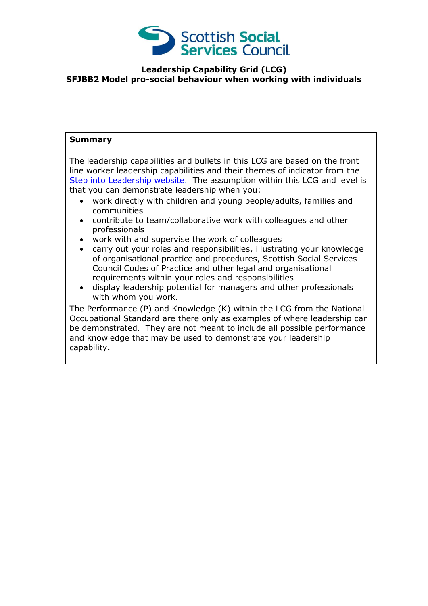

## **Leadership Capability Grid (LCG) SFJBB2 Model pro-social behaviour when working with individuals**

## **Summary**

The leadership capabilities and bullets in this LCG are based on the front line worker leadership capabilities and their themes of indicator from the [Step into Leadership website.](http://www.stepintoleadership.info/) The assumption within this LCG and level is that you can demonstrate leadership when you:

- work directly with children and young people/adults, families and communities
- contribute to team/collaborative work with colleagues and other professionals
- work with and supervise the work of colleagues
- carry out your roles and responsibilities, illustrating your knowledge of organisational practice and procedures, Scottish Social Services Council Codes of Practice and other legal and organisational requirements within your roles and responsibilities
- display leadership potential for managers and other professionals with whom you work.

The Performance (P) and Knowledge (K) within the LCG from the National Occupational Standard are there only as examples of where leadership can be demonstrated. They are not meant to include all possible performance and knowledge that may be used to demonstrate your leadership capability**.**